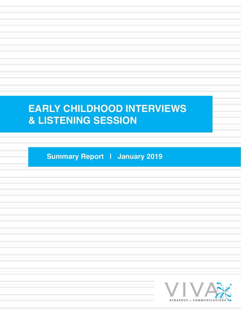# **EARLY CHILDHOOD INTERVIEWS & LISTENING SESSION**

**Summary Report | January 2019**

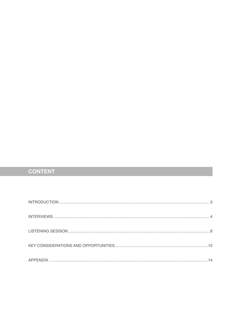## **CONTENT**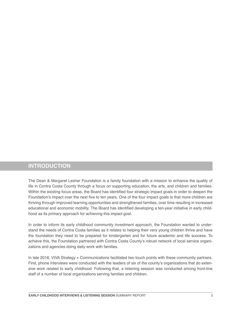## **INTRODUCTION**

The Dean & Margaret Lesher Foundation is a family foundation with a mission to enhance the quality of life in Contra Costa County through a focus on supporting education, the arts, and children and families. Within the existing focus areas, the Board has identified four strategic impact goals in order to deepen the Foundation's impact over the next five to ten years. One of the four impact goals is that more children are thriving through improved learning opportunities and strengthened families, over time resulting in increased educational and economic mobility. The Board has identified developing a ten-year initiative in early childhood as its primary approach for achieving this impact goal.

In order to inform its early childhood community investment approach, the Foundation wanted to understand the needs of Contra Costa families as it relates to helping their very young children thrive and have the foundation they need to be prepared for kindergarten and for future academic and life success. To achieve this, the Foundation partnered with Contra Costa County's robust network of local service organizations and agencies doing daily work with families.

In late 2018, VIVA Strategy + Communications facilitated two touch points with these community partners. First, phone interviews were conducted with the leaders of six of the county's organizations that do extensive work related to early childhood. Following that, a listening session was conducted among front-line staff of a number of local organizations serving families and children.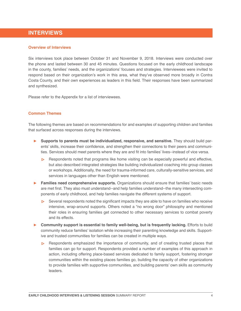## **INTERVIEWS**

#### **Overview of Interviews**

Six interviews took place between October 31 and November 9, 2018. Interviews were conducted over the phone and lasted between 30 and 45 minutes. Questions focused on the early childhood landscape in the county, families' needs, and the organizations' focuses and strategies. Interviewees were invited to respond based on their organization's work in this area, what they've observed more broadly in Contra Costa County, and their own experiences as leaders in this field. Their responses have been summarized and synthesized.

Please refer to the Appendix for a list of interviewees.

## **Common Themes**

The following themes are based on recommendations for and examples of supporting children and families that surfaced across responses during the interviews.

- ► **Supports to parents must be individualized, responsive, and sensitive.** They should build parents' skills, increase their confidence, and strengthen their connections to their peers and communities. Services should meet parents where they are and fit into families' lives--instead of vice versa.
	- $\triangleright$  Respondents noted that programs like home visiting can be especially powerful and effective, but also described integrated strategies like building individualized coaching into group classes or workshops. Additionally, the need for trauma-informed care, culturally-sensitive services, and services in languages other than English were mentioned.
- ► **Families need comprehensive supports.** Organizations should ensure that families' basic needs are met first. They also must understand--and help families understand--the many intersecting components of early childhood, and help families navigate the different systems of support.
	- $\triangleright$  Several respondents noted the significant impacts they are able to have on families who receive intensive, wrap-around supports. Others noted a "no wrong door" philosophy and mentioned their roles in ensuring families get connected to other necessary services to combat poverty and its effects.
- ► **Community support is essential to family well-being, but is frequently lacking.** Efforts to build community reduce families' isolation while increasing their parenting knowledge and skills. Supportive and trusted communities for families can be created in multiple ways.
	- $\triangleright$  Respondents emphasized the importance of community, and of creating trusted places that families can go for support. Respondents provided a number of examples of this approach in action, including offering place-based services dedicated to family support, fostering stronger communities within the existing places families go, building the capacity of other organizations to provide families with supportive communities, and building parents' own skills as community leaders.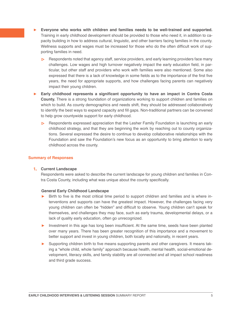- Everyone who works with children and families needs to be well-trained and supported. Training in early childhood development should be provided to those who need it, in addition to capacity building in how to address cultural, linguistic, and other barriers facing families in the county. Wellness supports and wages must be increased for those who do the often difficult work of supporting families in need.
	- $\triangleright$  Respondents noted that agency staff, service providers, and early learning providers face many challenges. Low wages and high turnover negatively impact the early education field, in particular, but other staff and providers who work with families were also mentioned. Some also expressed that there is a lack of knowledge in some fields as to the importance of the first five years, the need for appropriate supports, and how challenges facing parents can negatively impact their young children.
- ► **Early childhood represents a significant opportunity to have an impact in Contra Costa County.** There is a strong foundation of organizations working to support children and families on which to build. As county demographics and needs shift, they should be addressed collaboratively to identify the best ways to expand capacity and fill gaps. Non-traditional partners can be convened to help grow countywide support for early childhood.
	- Respondents expressed appreciation that the Lesher Family Foundation is launching an early childhood strategy, and that they are beginning the work by reaching out to county organizations. Several expressed the desire to continue to develop collaborative relationships with the Foundation and saw the Foundation's new focus as an opportunity to bring attention to early childhood across the county.

## **Summary of Responses**

## **1. Current Landscape**

Respondents were asked to describe the current landscape for young children and families in Contra Costa County, including what was unique about the county specifically.

## **General Early Childhood Landscape**

- Birth to five is the most critical time period to support children and families and is where interventions and supports can have the greatest impact. However, the challenges facing very young children can often be "hidden" and difficult to observe. Young children can't speak for themselves, and challenges they may face, such as early trauma, developmental delays, or a lack of quality early education, often go unrecognized.
- ► Investment in this age has long been insufficient. At the same time, seeds have been planted over many years. There has been greater recognition of this importance and a movement to better support and invest in young children, both locally and nationally, in recent years.
- ► Supporting children birth to five means supporting parents and other caregivers. It means taking a "whole child, whole family" approach because health, mental health, social-emotional development, literacy skills, and family stability are all connected and all impact school readiness and third grade success.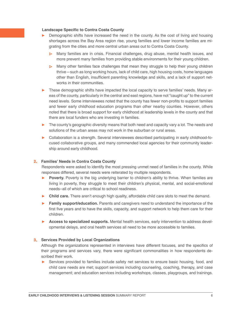#### **Landscape Specific to Contra Costa County**

- ► Demographic shifts have increased the need in the county. As the cost of living and housing shortages across the Bay Area region rise, young families and lower income families are migrating from the cities and more central urban areas out to Contra Costa County.
	- $\triangleright$  Many families are in crisis. Financial challenges, drug abuse, mental health issues, and more prevent many families from providing stable environments for their young children.
	- $\triangleright$  Many other families face challenges that mean they struggle to help their young children thrive—such as long working hours, lack of child care, high housing costs, home languages other than English, insufficient parenting knowledge and skills, and a lack of support networks in their communities.
- These demographic shifts have impacted the local capacity to serve families' needs. Many areas of the county, particularly in the central and east regions, have not "caught up" to the current need levels. Some interviewees noted that the county has fewer non-profits to support families and fewer early childhood education programs than other nearby counties. However, others noted that there is broad support for early childhood at leadership levels in the county and that there are local funders who are investing in families.
- ► The county's geographic diversity means that both need and capacity vary a lot. The needs and solutions of the urban areas may not work in the suburban or rural areas.
- ► Collaboration is a strength. Several interviewees described participating in early childhood-focused collaborative groups, and many commended local agencies for their community leadership around early childhood.

#### **2. Families' Needs in Contra Costa County**

Respondents were asked to identify the most pressing unmet need of families in the county. While responses differed, several needs were reiterated by multiple respondents.

- ► **Poverty.** Poverty is the big underlying barrier to children's ability to thrive. When families are living in poverty, they struggle to meet their children's physical, mental, and social-emotional needs--all of which are critical to school readiness.
- ► **Child care.** There aren't enough high quality, affordable child care slots to meet the demand.
- ► **Family support/education.** Parents and caregivers need to understand the importance of the first five years and to have the skills, capacity, and support network to help them care for their children.
- ► **Access to specialized supports.** Mental health services, early intervention to address developmental delays, and oral health services all need to be more accessible to families.

#### **3. Services Provided by Local Organizations**

Although the organizations represented in interviews have different focuses, and the specifics of their programs and services vary, there were significant commonalities in how respondents described their work.

► Services provided to families include safety net services to ensure basic housing, food, and child care needs are met; support services including counseling, coaching, therapy, and case management; and education services including workshops, classes, playgroups, and trainings.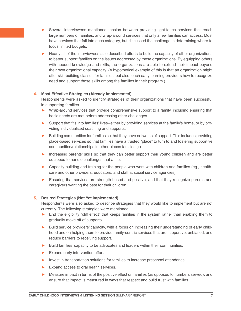- ► Several interviewees mentioned tension between providing light-touch services that reach large numbers of families, and wrap-around services that only a few families can access. Most have services that fall into each category, but discussed the challenge in determining where to focus limited budgets.
- ► Nearly all of the interviewees also described efforts to build the capacity of other organizations to better support families on the issues addressed by these organizations. By equipping others with needed knowledge and skills, the organizations are able to extend their impact beyond their own organizational capacity. (A hypothetical example of this is that an organization might offer skill-building classes for families, but also teach early learning providers how to recognize need and support those skills among the families in their program.)

## **4. Most Effective Strategies (Already Implemented)**

Respondents were asked to identify strategies of their organizations that have been successful in supporting families.

- ► Wrap-around services that provide comprehensive support to a family, including ensuring that basic needs are met before addressing other challenges.
- ► Support that fits into families' lives--either by providing services at the family's home, or by providing individualized coaching and supports.
- ► Building communities for families so that they have networks of support. This includes providing place-based services so that families have a trusted "place" to turn to and fostering supportive communities/relationships in other places families go.
- ► Increasing parents' skills so that they can better support their young children and are better equipped to handle challenges that arise.
- ► Capacity building and training for the people who work with children and families (eg., healthcare and other providers, educators, and staff at social service agencies).
- ► Ensuring that services are strength-based and positive, and that they recognize parents and caregivers wanting the best for their children.

## **5. Desired Strategies (Not Yet Implemented)**

Respondents were also asked to describe strategies that they would like to implement but are not currently. The following strategies were mentioned.

- End the eligibility "cliff effect" that keeps families in the system rather than enabling them to gradually move off of supports.
- ► Build service providers' capacity, with a focus on increasing their understanding of early childhood and on helping them to provide family-centric services that are supportive, unbiased, and reduce barriers to receiving support.
- ► Build families' capacity to be advocates and leaders within their communities.
- ► Expand early intervention efforts.
- ► Invest in transportation solutions for families to increase preschool attendance.
- ► Expand access to oral health services.
- ► Measure impact in terms of the positive effect on families (as opposed to numbers served), and ensure that impact is measured in ways that respect and build trust with families.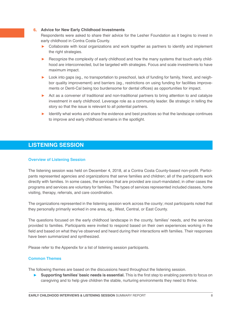#### **6. Advice for New Early Childhood Investments**

Respondents were asked to share their advice for the Lesher Foundation as it begins to invest in early childhood in Contra Costa County.

- ► Collaborate with local organizations and work together as partners to identify and implement the right strategies.
- ► Recognize the complexity of early childhood and how the many systems that touch early childhood are interconnected, but be targeted with strategies. Focus and scale investments to have maximum impact.
- ► Look into gaps (eg., no transportation to preschool, lack of funding for family, friend, and neighbor quality improvement) and barriers (eg., restrictions on using funding for facilities improvements or Denti-Cal being too burdensome for dental offices) as opportunities for impact.
- ► Act as a convener of traditional and non-traditional partners to bring attention to and catalyze investment in early childhood. Leverage role as a community leader. Be strategic in telling the story so that the issue is relevant to all potential partners.
- ► Identify what works and share the evidence and best practices so that the landscape continues to improve and early childhood remains in the spotlight.

## **LISTENING SESSION**

## **Overview of Listening Session**

The listening session was held on December 4, 2018, at a Contra Costa County-based non-profit. Participants represented agencies and organizations that serve families and children; all of the participants work directly with families. In some cases, the services that are provided are court-mandated; in other cases the programs and services are voluntary for families. The types of services represented included classes, home visiting, therapy, referrals, and care coordination.

The organizations represented in the listening session work across the county; most participants noted that they personally primarily worked in one area, eg., West, Central, or East County.

The questions focused on the early childhood landscape in the county, families' needs, and the services provided to families. Participants were invited to respond based on their own experiences working in the field and based on what they've observed and heard during their interactions with families. Their responses have been summarized and synthesized.

Please refer to the Appendix for a list of listening session participants.

## **Common Themes**

The following themes are based on the discussions heard throughout the listening session.

► Supporting families' basic needs is essential. This is the first step to enabling parents to focus on caregiving and to help give children the stable, nurturing environments they need to thrive.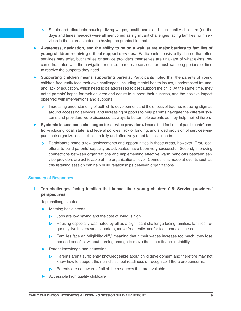- $\triangleright$  Stable and affordable housing, living wages, health care, and high quality childcare (on the days and times needed) were all mentioned as significant challenges facing families, with services in these areas noted as having the greatest impact.
- ► **Awareness, navigation, and the ability to be on a waitlist are major barriers to families of young children receiving critical support services.** Participants consistently shared that often services may exist, but families or service providers themselves are unaware of what exists, become frustrated with the navigation required to receive services, or must wait long periods of time to receive the supports they need.
- ► **Supporting children means supporting parents.** Participants noted that the parents of young children frequently face their own challenges, including mental health issues, unaddressed trauma, and lack of education, which need to be addressed to best support the child. At the same time, they noted parents' hopes for their children and desire to support their success, and the positive impact observed with interventions and supports.
	- Increasing understanding of both child development and the effects of trauma, reducing stigmas around accessing services, and increasing supports to help parents navigate the different systems and providers were discussed as ways to better help parents as they help their children.
- ► **Systemic issues pose challenges for service providers.** Issues that feel out of participants' control--including local, state, and federal policies; lack of funding; and siloed provision of services--impact their organizations' abilities to fully and effectively meet families' needs.
	- $\triangleright$  Participants noted a few achievements and opportunities in these areas, however. First, local efforts to build parents' capacity as advocates have been very successful. Second, improving connections between organizations and implementing effective warm hand-offs between service providers are achievable at the organizational level. Connections made at events such as this listening session can help build relationships between organizations.

## **Summary of Responses**

**1. Top challenges facing families that impact their young children 0-5: Service providers' perspectives**

Top challenges noted:

- ► Meeting basic needs
	- $\triangleright$  Jobs are low paying and the cost of living is high.
	- $\triangleright$  Housing especially was noted by all as a significant challenge facing families: families frequently live in very small quarters, move frequently, and/or face homelessness.
	- $\triangleright$  Families face an "eligibility cliff," meaning that if their wages increase too much, they lose needed benefits, without earning enough to move them into financial stability.
- **Parent knowledge and education** 
	- $\triangleright$ Parents aren't sufficiently knowledgeable about child development and therefore may not know how to support their child's school readiness or recognize if there are concerns.
	- $\triangleright$  Parents are not aware of all of the resources that are available.
- ► Accessible high quality childcare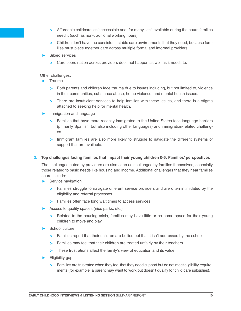- $\triangleright$  Affordable childcare isn't accessible and, for many, isn't available during the hours families need it (such as non-traditional working hours).
- $\triangleright$  Children don't have the consistent, stable care environments that they need, because families must piece together care across multiple formal and informal providers
- ► Siloed services
	- $\triangleright$  Care coordination across providers does not happen as well as it needs to.

Other challenges:

- ► Trauma
	- $\triangleright$  Both parents and children face trauma due to issues including, but not limited to, violence in their communities, substance abuse, home violence, and mental health issues.
	- $\triangleright$  There are insufficient services to help families with these issues, and there is a stigma attached to seeking help for mental health.
- Immigration and language
	- $\triangleright$  Families that have more recently immigrated to the United States face language barriers (primarily Spanish, but also including other languages) and immigration-related challenges.
	- $\triangleright$  Immigrant families are also more likely to struggle to navigate the different systems of support that are available.

**2. Top challenges facing families that impact their young children 0-5: Families' perspectives**

The challenges noted by providers are also seen as challenges by families themselves, especially those related to basic needs like housing and income. Additional challenges that they hear families share include:

- ► Service navigation
	- $\triangleright$  Families struggle to navigate different service providers and are often intimidated by the eligibility and referral processes.
	- $\triangleright$  Families often face long wait times to access services.
- ► Access to quality spaces (nice parks, etc.)
	- $\triangleright$  Related to the housing crisis, families may have little or no home space for their young children to move and play.
- ► School culture
	- $\triangleright$  Families report that their children are bullied but that it isn't addressed by the school.
	- $\triangleright$  Families may feel that their children are treated unfairly by their teachers.
	- $\triangleright$  These frustrations affect the family's view of education and its value.
- ► Eligibility gap
	- $\triangleright$  Families are frustrated when they feel that they need support but do not meet eligibility requirements (for example, a parent may want to work but doesn't qualify for child care subsidies).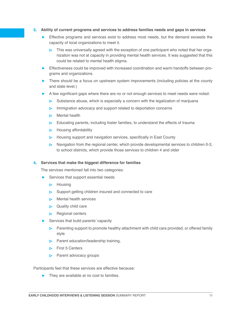## **3. Ability of current programs and services to address families needs and gaps in services**

- ► Effective programs and services exist to address most needs, but the demand exceeds the capacity of local organizations to meet it.
	- $\triangleright$  This was universally agreed with the exception of one participant who noted that her organization was not at capacity in providing mental health services. It was suggested that this could be related to mental health stigma.
- ► Effectiveness could be improved with increased coordination and warm handoffs between programs and organizations.
- ► There should be a focus on upstream system improvements (including policies at the county and state level.)
- ► A few significant gaps where there are no or not enough services to meet needs were noted:
	- $\triangleright$  Substance abuse, which is especially a concern with the legalization of marijuana
	- **IMMIGRATHLIM** Immigration advocacy and support related to deportation concerns
	- **Nental health**
	- $\triangleright$  Educating parents, including foster families, to understand the effects of trauma
	- $\triangleright$  Housing affordability
	- $\triangleright$  Housing support and navigation services, specifically in East County
	- $\triangleright$  Navigation from the regional center, which provide developmental services to children 0-3, to school districts, which provide those services to children 4 and older

**4. Services that make the biggest difference for families**

The services mentioned fall into two categories:

- ► Services that support essential needs
	- $\triangleright$  Housing
	- $\triangleright$  Support getting children insured and connected to care
	- $\triangleright$  Mental health services
	- $\triangleright$  Quality child care
	- $\triangleright$  Regional centers
- Services that build parents' capacity
	- $\triangleright$  Parenting support to promote healthy attachment with child care provided, or offered family style
	- $\triangleright$  Parent education/leadership training,
	- $\triangleright$  First 5 Centers
	- $\triangleright$  Parent advocacy groups

Participants feel that these services are effective because:

► They are available at no cost to families.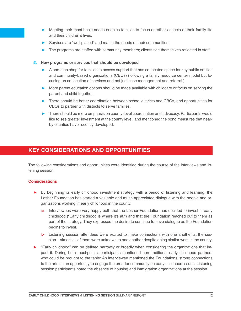- ► Meeting their most basic needs enables families to focus on other aspects of their family life and their children's lives.
- ► Services are "well placed" and match the needs of their communities.
- The programs are staffed with community members; clients see themselves reflected in staff.

## **5. New programs or services that should be developed**

- ► A one-stop shop for families to access support that has co-located space for key public entities and community-based organizations (CBOs) (following a family resource center model but focusing on co-location of services and not just case management and referral.)
- ► More parent education options should be made available with childcare or focus on serving the parent and child together.
- ► There should be better coordination between school districts and CBOs, and opportunities for CBOs to partner with districts to serve families.
- ► There should be more emphasis on county-level coordination and advocacy. Participants would like to see greater investment at the county level, and mentioned the bond measures that nearby counties have recently developed.

## **KEY CONSIDERATIONS AND OPPORTUNITIES**

The following considerations and opportunities were identified during the course of the interviews and listening session.

## **Considerations**

- ► By beginning its early childhood investment strategy with a period of listening and learning, the Lesher Foundation has started a valuable and much-appreciated dialogue with the people and organizations working in early childhood in the county.
	- Interviewees were very happy both that the Lesher Foundation has decided to invest in early childhood ("Early childhood is where it's at.") and that the Foundation reached out to them as part of the strategy. They expressed the desire to continue to have dialogue as the Foundation begins to invest.
	- Listening session attendees were excited to make connections with one another at the session—almost all of them were unknown to one another despite doing similar work in the county.
- ► "Early childhood" can be defined narrowly or broadly when considering the organizations that impact it. During both touchpoints, participants mentioned non-traditional early childhood partners who could be brought to the table: An interviewee mentioned the Foundations' strong connections to the arts as an opportunity to engage the broader community on early childhood issues. Listening session participants noted the absence of housing and immigration organizations at the session.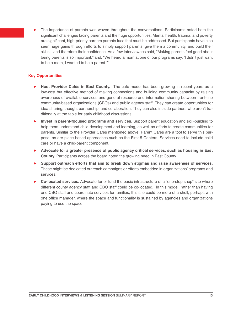The importance of parents was woven throughout the conversations. Participants noted both the significant challenges facing parents and the huge opportunities. Mental health, trauma, and poverty are significant, high-priority barriers parents face that must be addressed. But participants have also seen huge gains through efforts to simply support parents, give them a community, and build their skills—and therefore their confidence. As a few interviewees said, "Making parents feel good about being parents is so important," and, "We heard a mom at one of our programs say, 'I didn't just want to be a mom, I wanted to be a parent.'"

## **Key Opportunities**

- ► **Host Provider Cafés in East County.** The café model has been growing in recent years as a low-cost but effective method of making connections and building community capacity by raising awareness of available services and general resource and information sharing between front-line community-based organizations (CBOs) and public agency staff. They can create opportunities for idea sharing, thought partnership, and collaboration. They can also include partners who aren't traditionally at the table for early childhood discussions.
- ► **Invest in parent-focused programs and services.** Support parent education and skill-building to help them understand child development and learning, as well as efforts to create communities for parents. Similar to the Provider Cafes mentioned above, Parent Cafes are a tool to serve this purpose, as are place-based approaches such as the First 5 Centers. Services need to include child care or have a child-parent component.
- ► **Advocate for a greater presence of public agency critical services, such as housing in East County.** Participants across the board noted the growing need in East County.
- ► **Support outreach efforts that aim to break down stigmas and raise awareness of services.** These might be dedicated outreach campaigns or efforts embedded in organizations' programs and services.
- ► **Co-located services.** Advocate for or fund the basic infrastructure of a "one-stop shop" site where different county agency staff and CBO staff could be co-located. In this model, rather than having one CBO staff and coordinate services for families, this site could be more of a shell, perhaps with one office manager, where the space and functionality is sustained by agencies and organizations paying to use the space.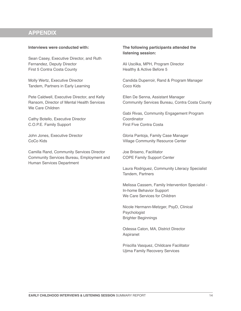## **APPENDIX**

## **Interviews were conducted with:**

Sean Casey, Executive Director, and Ruth Fernandez, Deputy Director First 5 Contra Costa County

Molly Wertz, Executive Director Tandem, Partners in Early Learning

Pete Caldwell, Executive Director, and Kelly Ransom, Director of Mental Health Services We Care Children

Cathy Botello, Executive Director C.O.P.E. Family Support

John Jones, Executive Director CoCo Kids

Camilla Rand, Community Services Director Community Services Bureau, Employment and Human Services Department

## **The following participants attended the listening session:**

Ali Uscilka, MPH, Program Director Healthy & Active Before 5

Candida Duperroir, Rand & Program Manager Coco Kids

Ellen De Senna, Assistant Manager Community Services Bureau, Contra Costa County

Gabi Rivas, Community Engagement Program **Coordinator** First Five Contra Costa

Gloria Pantoja, Family Case Manager Village Community Resource Center

Joe Briseno, Facilitator COPE Family Support Center

Laura Rodriguez, Community Literacy Specialist Tandem, Partners

Melissa Cassem, Family Intervention Specialist - In-home Behavior Support We Care Services for Children

Nicole Hermann-Metzger, PsyD, Clinical Psychologist Brighter Beginnings

Odessa Caton, MA, District Director Aspiranet

Priscilla Vasquez, Childcare Facilitator Ujima Family Recovery Services